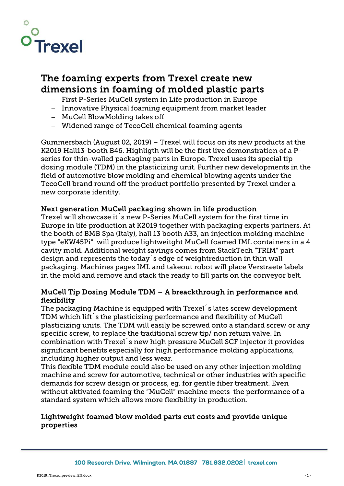

# **The foaming experts from Trexel create new dimensions in foaming of molded plastic parts**

- First P-Series MuCell system in Life production in Europe
- Innovative Physical foaming equipment from market leader
- MuCell BlowMolding takes off
- Widened range of TecoCell chemical foaming agents

Gummersbach (August 02, 2019) – Trexel will focus on its new products at the K2019 Hall13-booth B46. Highligth will be the first live demonstration of a P series for thin-walled packaging parts in Europe. Trexel uses its special tip dosing module (TDM) in the plasticizing unit. Further new developments in the field of automotive blow molding and chemical blowing agents under the TecoCell brand round off the product portfolio presented by Trexel under a new corporate identity.

## **Next generation MuCell packaging shown in life production**

Trexel will showcase it s new P-Series MuCell system for the first time in Europe in life production at K2019 together with packaging experts partners. At the booth of BMB Spa (Italy), hall 13 booth A33, an injection molding machine type "eKW45Pi" will produce lightweitght MuCell foamed IML containers in a 4 cavity mold. Additional weight savings comes from StackTech "TRIM" part design and represents the today´s edge of weightreduction in thin wall packaging. Machines pages IML and takeout robot will place Verstraete labels in the mold and remove and stack the ready to fill parts on the conveyor belt.

# **MuCell Tip Dosing Module TDM – A breackthrough in performance and flexibility**

The packaging Machine is equipped with Trexel´s lates screw development TDM which lift´s the plasticizing performance and flexibility of MuCell plasticizing units. The TDM will easily be screwed onto a standard screw or any specific screw, to replace the traditional screw tip/ non return valve. In combination with Trexel´s new high pressure MuCell SCF injector it provides significant benefits especially for high performance molding applications, including higher output and less wear.

This flexible TDM module could also be used on any other injection molding machine and screw for automotive, technical or other industries with specific demands for screw design or process, eg. for gentle fiber treatment. Even without aktivated foaming the "MuCell" machine meets the performance of a standard system which allows more flexibility in production.

# **Lightweight foamed blow molded parts cut costs and provide unique properties**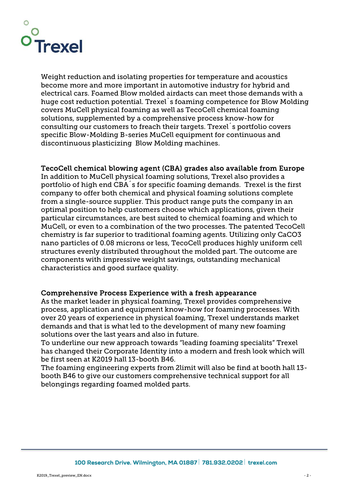

Weight reduction and isolating properties for temperature and acoustics become more and more important in automotive industry for hybrid and electrical cars. Foamed Blow molded airdacts can meet those demands with a huge cost reduction potential. Trexel`s foaming competence for Blow Molding covers MuCell physical foaming as well as TecoCell chemical foaming solutions, supplemented by a comprehensive process know-how for consulting our customers to freach their targets. Trexel´s portfolio covers specific Blow-Molding B-series MuCell equipment for continuous and discontinuous plasticizing Blow Molding machines.

#### **TecoCell chemical blowing agent (CBA) grades also available from Europe**

In addition to MuCell physical foaming solutions, Trexel also provides a portfolio of high end CBA´s for specific foaming demands. Trexel is the first company to offer both chemical and physical foaming solutions complete from a single-source supplier. This product range puts the company in an optimal position to help customers choose which applications, given their particular circumstances, are best suited to chemical foaming and which to MuCell, or even to a combination of the two processes. The patented TecoCell chemistry is far superior to traditional foaming agents. Utilizing only CaCO3 nano particles of 0.08 microns or less, TecoCell produces highly uniform cell structures evenly distributed throughout the molded part. The outcome are components with impressive weight savings, outstanding mechanical characteristics and good surface quality.

#### **Comprehensive Process Experience with a fresh appearance**

As the market leader in physical foaming, Trexel provides comprehensive process, application and equipment know-how for foaming processes. With over 20 years of experience in physical foaming, Trexel understands market demands and that is what led to the development of many new foaming solutions over the last years and also in future.

To underline our new approach towards "leading foaming specialits" Trexel has changed their Corporate Identity into a modern and fresh look which will be first seen at K2019 hall 13-booth B46.

The foaming engineering experts from 2limit will also be find at booth hall 13 booth B46 to give our customers comprehensive technical support for all belongings regarding foamed molded parts.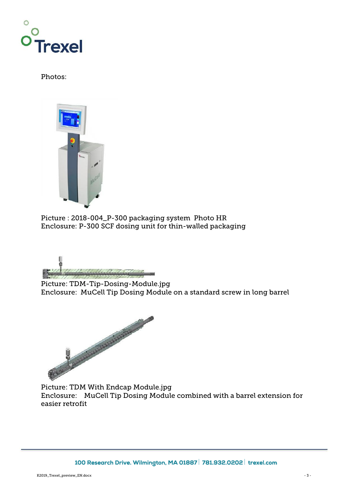

#### Photos:



Picture : 2018-004\_P-300 packaging system Photo HR Enclosure: P-300 SCF dosing unit for thin-walled packaging

Picture: TDM-Tip-Dosing-Module.jpg Enclosure: MuCell Tip Dosing Module on a standard screw in long barrel



Picture: TDM With Endcap Module.jpg Enclosure: MuCell Tip Dosing Module combined with a barrel extension for easier retrofit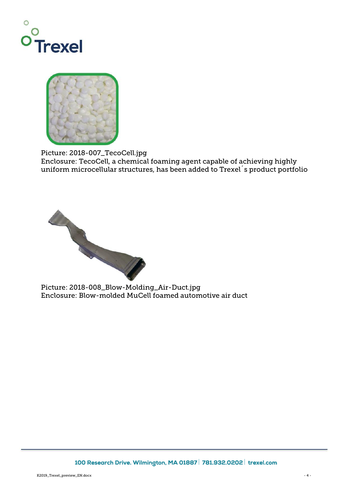



Picture: 2018-007\_TecoCell.jpg Enclosure: TecoCell, a chemical foaming agent capable of achieving highly uniform microcellular structures, has been added to Trexel´s product portfolio



Picture: 2018-008\_Blow-Molding\_Air-Duct.jpg Enclosure: Blow-molded MuCell foamed automotive air duct